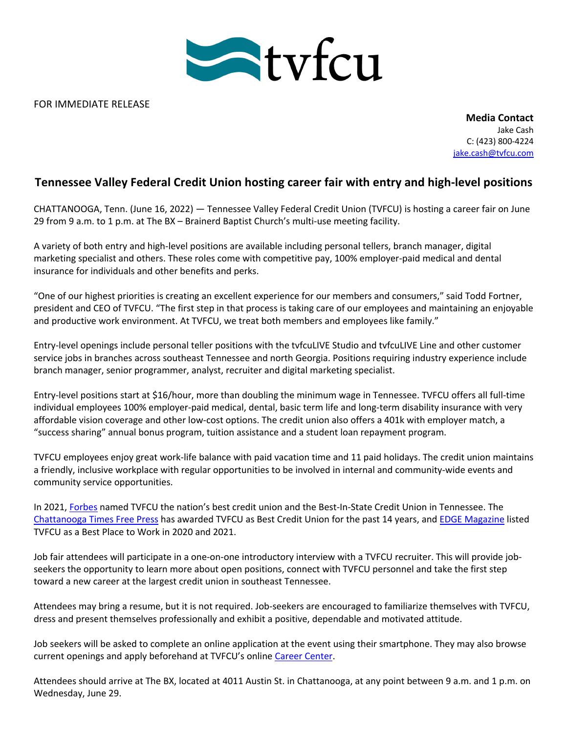

FOR IMMEDIATE RELEASE

**Media Contact** Jake Cash C: (423) 800-4224 jake.cash@tvfcu.com

## **Tennessee Valley Federal Credit Union hosting career fair with entry and high-level positions**

CHATTANOOGA, Tenn. (June 16, 2022) — Tennessee Valley Federal Credit Union (TVFCU) is hosting a career fair on June 29 from 9 a.m. to 1 p.m. at The BX – Brainerd Baptist Church's multi-use meeting facility.

A variety of both entry and high-level positions are available including personal tellers, branch manager, digital marketing specialist and others. These roles come with competitive pay, 100% employer-paid medical and dental insurance for individuals and other benefits and perks.

"One of our highest priorities is creating an excellent experience for our members and consumers," said Todd Fortner, president and CEO of TVFCU. "The first step in that process is taking care of our employees and maintaining an enjoyable and productive work environment. At TVFCU, we treat both members and employees like family."

Entry-level openings include personal teller positions with the tvfcuLIVE Studio and tvfcuLIVE Line and other customer service jobs in branches across southeast Tennessee and north Georgia. Positions requiring industry experience include branch manager, senior programmer, analyst, recruiter and digital marketing specialist.

Entry-level positions start at \$16/hour, more than doubling the minimum wage in Tennessee. TVFCU offers all full-time individual employees 100% employer-paid medical, dental, basic term life and long-term disability insurance with very affordable vision coverage and other low-cost options. The credit union also offers a 401k with employer match, a "success sharing" annual bonus program, tuition assistance and a student loan repayment program.

TVFCU employees enjoy great work-life balance with paid vacation time and 11 paid holidays. The credit union maintains a friendly, inclusive workplace with regular opportunities to be involved in internal and community-wide events and community service opportunities.

In 2021, Forbes named TVFCU the nation's best credit union and the Best-In-State Credit Union in Tennessee. The Chattanooga Times Free Press has awarded TVFCU as Best Credit Union for the past 14 years, and EDGE Magazine listed TVFCU as a Best Place to Work in 2020 and 2021.

Job fair attendees will participate in a one-on-one introductory interview with a TVFCU recruiter. This will provide jobseekers the opportunity to learn more about open positions, connect with TVFCU personnel and take the first step toward a new career at the largest credit union in southeast Tennessee.

Attendees may bring a resume, but it is not required. Job-seekers are encouraged to familiarize themselves with TVFCU, dress and present themselves professionally and exhibit a positive, dependable and motivated attitude.

Job seekers will be asked to complete an online application at the event using their smartphone. They may also browse current openings and apply beforehand at TVFCU's online Career Center.

Attendees should arrive at The BX, located at 4011 Austin St. in Chattanooga, at any point between 9 a.m. and 1 p.m. on Wednesday, June 29.